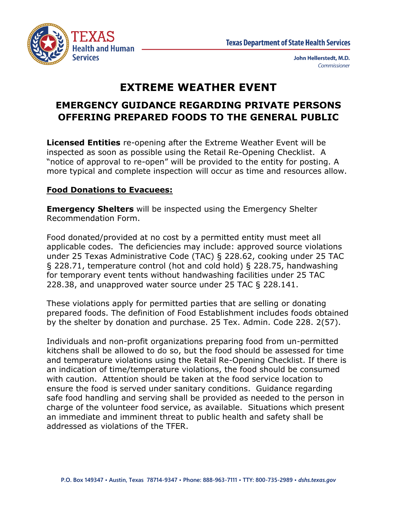

# **EXTREME WEATHER EVENT**

# **EMERGENCY GUIDANCE REGARDING PRIVATE PERSONS OFFERING PREPARED FOODS TO THE GENERAL PUBLIC**

**Licensed Entities** re-opening after the Extreme Weather Event will be inspected as soon as possible using the Retail Re-Opening Checklist. A "notice of approval to re-open" will be provided to the entity for posting. A more typical and complete inspection will occur as time and resources allow.

## **Food Donations to Evacuees:**

**Emergency Shelters** will be inspected using the Emergency Shelter Recommendation Form.

Food donated/provided at no cost by a permitted entity must meet all applicable codes. The deficiencies may include: approved source violations under 25 Texas Administrative Code (TAC) § 228.62, cooking under 25 TAC § 228.71, temperature control (hot and cold hold) § 228.75, handwashing for temporary event tents without handwashing facilities under 25 TAC 228.38, and unapproved water source under 25 TAC § 228.141.

These violations apply for permitted parties that are selling or donating prepared foods. The definition of Food Establishment includes foods obtained by the shelter by donation and purchase. 25 Tex. Admin. Code 228. 2(57).

Individuals and non-profit organizations preparing food from un-permitted kitchens shall be allowed to do so, but the food should be assessed for time and temperature violations using the Retail Re-Opening Checklist. If there is an indication of time/temperature violations, the food should be consumed with caution. Attention should be taken at the food service location to ensure the food is served under sanitary conditions. Guidance regarding safe food handling and serving shall be provided as needed to the person in charge of the volunteer food service, as available. Situations which present an immediate and imminent threat to public health and safety shall be addressed as violations of the TFER.